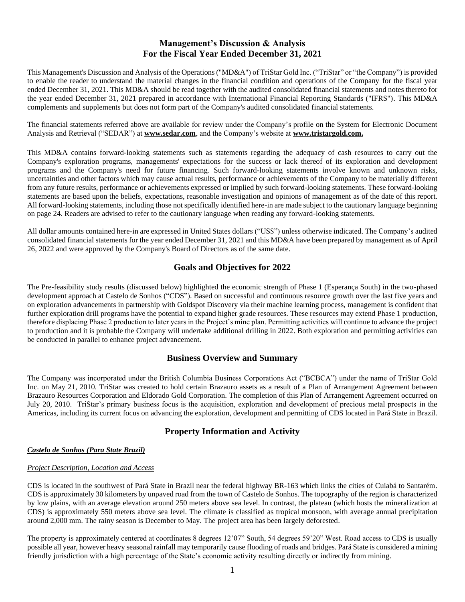# **Management's Discussion & Analysis For the Fiscal Year Ended December 31, 2021**

This Management's Discussion and Analysis of the Operations ("MD&A") of TriStar Gold Inc. ("TriStar" or "the Company") is provided to enable the reader to understand the material changes in the financial condition and operations of the Company for the fiscal year ended December 31, 2021. This MD&A should be read together with the audited consolidated financial statements and notes thereto for the year ended December 31, 2021 prepared in accordance with International Financial Reporting Standards ("IFRS"). This MD&A complements and supplements but does not form part of the Company's audited consolidated financial statements.

The financial statements referred above are available for review under the Company's profile on the System for Electronic Document Analysis and Retrieval ("SEDAR") at **[www.sedar.com](http://www.sedar.com/)**, and the Company's website at **www.tristargold.com.**

This MD&A contains forward-looking statements such as statements regarding the adequacy of cash resources to carry out the Company's exploration programs, managements' expectations for the success or lack thereof of its exploration and development programs and the Company's need for future financing. Such forward-looking statements involve known and unknown risks, uncertainties and other factors which may cause actual results, performance or achievements of the Company to be materially different from any future results, performance or achievements expressed or implied by such forward-looking statements. These forward-looking statements are based upon the beliefs, expectations, reasonable investigation and opinions of management as of the date of this report. All forward-looking statements, including those not specifically identified here-in are made subject to the cautionary language beginning on page 24. Readers are advised to refer to the cautionary language when reading any forward-looking statements.

All dollar amounts contained here-in are expressed in United States dollars ("US\$") unless otherwise indicated. The Company's audited consolidated financial statements for the year ended December 31, 2021 and this MD&A have been prepared by management as of April 26, 2022 and were approved by the Company's Board of Directors as of the same date.

# **Goals and Objectives for 2022**

The Pre-feasibility study results (discussed below) highlighted the economic strength of Phase 1 (Esperança South) in the two-phased development approach at Castelo de Sonhos ("CDS"). Based on successful and continuous resource growth over the last five years and on exploration advancements in partnership with Goldspot Discovery via their machine learning process, management is confident that further exploration drill programs have the potential to expand higher grade resources. These resources may extend Phase 1 production, therefore displacing Phase 2 production to later years in the Project's mine plan. Permitting activities will continue to advance the project to production and it is probable the Company will undertake additional drilling in 2022. Both exploration and permitting activities can be conducted in parallel to enhance project advancement.

## **Business Overview and Summary**

The Company was incorporated under the British Columbia Business Corporations Act ("BCBCA") under the name of TriStar Gold Inc. on May 21, 2010. TriStar was created to hold certain Brazauro assets as a result of a Plan of Arrangement Agreement between Brazauro Resources Corporation and Eldorado Gold Corporation. The completion of this Plan of Arrangement Agreement occurred on July 20, 2010. TriStar's primary business focus is the acquisition, exploration and development of precious metal prospects in the Americas, including its current focus on advancing the exploration, development and permitting of CDS located in Pará State in Brazil.

# **Property Information and Activity**

## *Castelo de Sonhos (Para State Brazil)*

## *Project Description, Location and Access*

CDS is located in the southwest of Pará State in Brazil near the federal highway BR-163 which links the cities of Cuiabá to Santarém. CDS is approximately 30 kilometers by unpaved road from the town of Castelo de Sonhos. The topography of the region is characterized by low plains, with an average elevation around 250 meters above sea level. In contrast, the plateau (which hosts the mineralization at CDS) is approximately 550 meters above sea level. The climate is classified as tropical monsoon, with average annual precipitation around 2,000 mm. The rainy season is December to May. The project area has been largely deforested.

The property is approximately centered at coordinates 8 degrees 12'07" South, 54 degrees 59'20" West. Road access to CDS is usually possible all year, however heavy seasonal rainfall may temporarily cause flooding of roads and bridges. Pará State is considered a mining friendly jurisdiction with a high percentage of the State's economic activity resulting directly or indirectly from mining.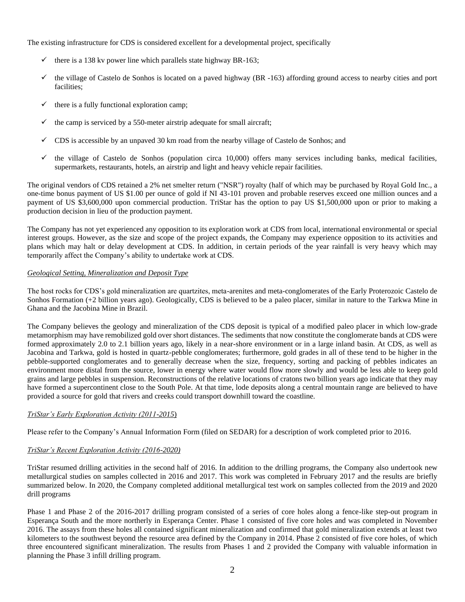The existing infrastructure for CDS is considered excellent for a developmental project, specifically

- $\checkmark$  there is a 138 kv power line which parallels state highway BR-163;
- ✓ the village of Castelo de Sonhos is located on a paved highway (BR -163) affording ground access to nearby cities and port facilities;
- $\checkmark$  there is a fully functional exploration camp;
- the camp is serviced by a 550-meter airstrip adequate for small aircraft;
- ✓ CDS is accessible by an unpaved 30 km road from the nearby village of Castelo de Sonhos; and
- $\checkmark$  the village of Castelo de Sonhos (population circa 10,000) offers many services including banks, medical facilities, supermarkets, restaurants, hotels, an airstrip and light and heavy vehicle repair facilities.

The original vendors of CDS retained a 2% net smelter return ("NSR") royalty (half of which may be purchased by Royal Gold Inc., a one-time bonus payment of US \$1.00 per ounce of gold if NI 43-101 proven and probable reserves exceed one million ounces and a payment of US \$3,600,000 upon commercial production. TriStar has the option to pay US \$1,500,000 upon or prior to making a production decision in lieu of the production payment.

The Company has not yet experienced any opposition to its exploration work at CDS from local, international environmental or special interest groups. However, as the size and scope of the project expands, the Company may experience opposition to its activities and plans which may halt or delay development at CDS. In addition, in certain periods of the year rainfall is very heavy which may temporarily affect the Company's ability to undertake work at CDS.

## *Geological Setting, Mineralization and Deposit Type*

The host rocks for CDS's gold mineralization are quartzites, meta-arenites and meta-conglomerates of the Early Proterozoic Castelo de Sonhos Formation (+2 billion years ago). Geologically, CDS is believed to be a paleo placer, similar in nature to the Tarkwa Mine in Ghana and the Jacobina Mine in Brazil.

The Company believes the geology and mineralization of the CDS deposit is typical of a modified paleo placer in which low-grade metamorphism may have remobilized gold over short distances. The sediments that now constitute the conglomerate bands at CDS were formed approximately 2.0 to 2.1 billion years ago, likely in a near-shore environment or in a large inland basin. At CDS, as well as Jacobina and Tarkwa, gold is hosted in quartz-pebble conglomerates; furthermore, gold grades in all of these tend to be higher in the pebble-supported conglomerates and to generally decrease when the size, frequency, sorting and packing of pebbles indicates an environment more distal from the source, lower in energy where water would flow more slowly and would be less able to keep gold grains and large pebbles in suspension. Reconstructions of the relative locations of cratons two billion years ago indicate that they may have formed a supercontinent close to the South Pole. At that time, lode deposits along a central mountain range are believed to have provided a source for gold that rivers and creeks could transport downhill toward the coastline.

## *TriStar's Early Exploration Activity (2011-2015*)

Please refer to the Company's Annual Information Form (filed on SEDAR) for a description of work completed prior to 2016.

## *TriStar's Recent Exploration Activity (2016-2020)*

TriStar resumed drilling activities in the second half of 2016. In addition to the drilling programs, the Company also undertook new metallurgical studies on samples collected in 2016 and 2017. This work was completed in February 2017 and the results are briefly summarized below. In 2020, the Company completed additional metallurgical test work on samples collected from the 2019 and 2020 drill programs

Phase 1 and Phase 2 of the 2016-2017 drilling program consisted of a series of core holes along a fence-like step-out program in Esperança South and the more northerly in Esperança Center. Phase 1 consisted of five core holes and was completed in November 2016. The assays from these holes all contained significant mineralization and confirmed that gold mineralization extends at least two kilometers to the southwest beyond the resource area defined by the Company in 2014. Phase 2 consisted of five core holes, of which three encountered significant mineralization. The results from Phases 1 and 2 provided the Company with valuable information in planning the Phase 3 infill drilling program.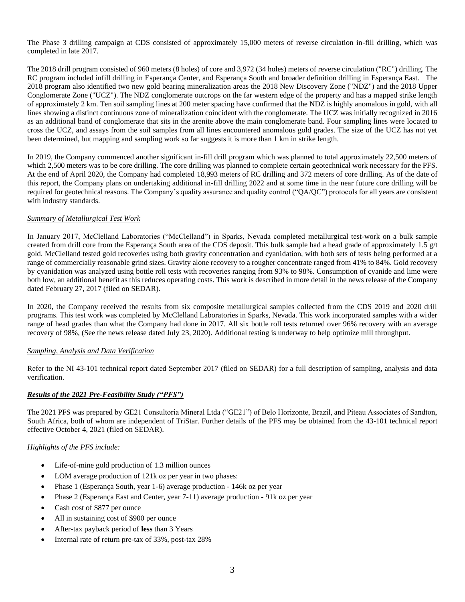The Phase 3 drilling campaign at CDS consisted of approximately 15,000 meters of reverse circulation in-fill drilling, which was completed in late 2017.

The 2018 drill program consisted of 960 meters (8 holes) of core and 3,972 (34 holes) meters of reverse circulation ("RC") drilling. The RC program included infill drilling in Esperança Center, and Esperança South and broader definition drilling in Esperança East. The 2018 program also identified two new gold bearing mineralization areas the 2018 New Discovery Zone ("NDZ") and the 2018 Upper Conglomerate Zone ("UCZ"). The NDZ conglomerate outcrops on the far western edge of the property and has a mapped strike length of approximately 2 km. Ten soil sampling lines at 200 meter spacing have confirmed that the NDZ is highly anomalous in gold, with all lines showing a distinct continuous zone of mineralization coincident with the conglomerate. The UCZ was initially recognized in 2016 as an additional band of conglomerate that sits in the arenite above the main conglomerate band. Four sampling lines were located to cross the UCZ, and assays from the soil samples from all lines encountered anomalous gold grades. The size of the UCZ has not yet been determined, but mapping and sampling work so far suggests it is more than 1 km in strike length.

In 2019, the Company commenced another significant in-fill drill program which was planned to total approximately 22,500 meters of which 2,500 meters was to be core drilling. The core drilling was planned to complete certain geotechnical work necessary for the PFS. At the end of April 2020, the Company had completed 18,993 meters of RC drilling and 372 meters of core drilling. As of the date of this report, the Company plans on undertaking additional in-fill drilling 2022 and at some time in the near future core drilling will be required for geotechnical reasons. The Company's quality assurance and quality control ("QA/QC") protocols for all years are consistent with industry standards.

## *Summary of Metallurgical Test Work*

In January 2017, McClelland Laboratories ("McClelland") in Sparks, Nevada completed metallurgical test-work on a bulk sample created from drill core from the Esperança South area of the CDS deposit. This bulk sample had a head grade of approximately 1.5  $g/t$ gold. McClelland tested gold recoveries using both gravity concentration and cyanidation, with both sets of tests being performed at a range of commercially reasonable grind sizes. Gravity alone recovery to a rougher concentrate ranged from 41% to 84%. Gold recovery by cyanidation was analyzed using bottle roll tests with recoveries ranging from 93% to 98%. Consumption of cyanide and lime were both low, an additional benefit as this reduces operating costs. This work is described in more detail in the news release of the Company dated February 27, 2017 (filed on SEDAR).

In 2020, the Company received the results from six composite metallurgical samples collected from the CDS 2019 and 2020 drill programs. This test work was completed by McClelland Laboratories in Sparks, Nevada. This work incorporated samples with a wider range of head grades than what the Company had done in 2017. All six bottle roll tests returned over 96% recovery with an average recovery of 98%, (See the news release dated July 23, 2020). Additional testing is underway to help optimize mill throughput.

## *Sampling, Analysis and Data Verification*

Refer to the NI 43-101 technical report dated September 2017 (filed on SEDAR) for a full description of sampling, analysis and data verification.

## *Results of the 2021 Pre-Feasibility Study ("PFS")*

The 2021 PFS was prepared by GE21 Consultoria Mineral Ltda ("GE21") of Belo Horizonte, Brazil, and Piteau Associates of Sandton, South Africa, both of whom are independent of TriStar. Further details of the PFS may be obtained from the 43-101 technical report effective October 4, 2021 (filed on SEDAR).

## *Highlights of the PFS include:*

- Life-of-mine gold production of 1.3 million ounces
- LOM average production of 121k oz per year in two phases:
- Phase 1 (Esperança South, year 1-6) average production 146k oz per year
- Phase 2 (Esperança East and Center, year 7-11) average production 91k oz per year
- Cash cost of \$877 per ounce
- All in sustaining cost of \$900 per ounce
- After-tax payback period of **less** than 3 Years
- Internal rate of return pre-tax of 33%, post-tax 28%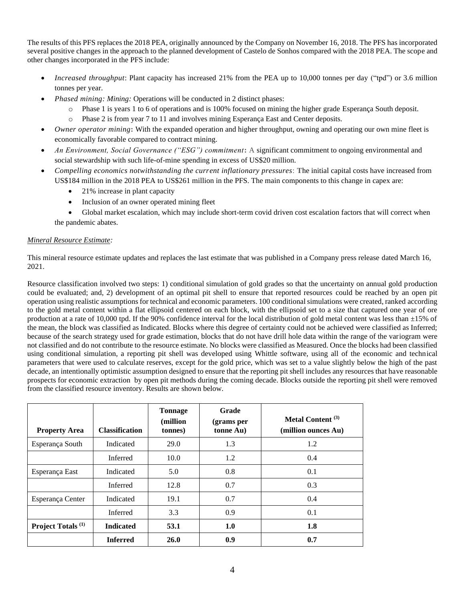The results of this PFS replaces the 2018 PEA, originally announced by the Company on November 16, 2018. The PFS has incorporated several positive changes in the approach to the planned development of Castelo de Sonhos compared with the 2018 PEA. The scope and other changes incorporated in the PFS include:

- *Increased throughput*: Plant capacity has increased 21% from the PEA up to 10,000 tonnes per day ("tpd") or 3.6 million tonnes per year.
- *Phased mining: Mining:* Operations will be conducted in 2 distinct phases:
	- Phase 1 is years 1 to 6 of operations and is 100% focused on mining the higher grade Esperança South deposit.
	- o Phase 2 is from year 7 to 11 and involves mining Esperança East and Center deposits.
- *Owner operator mining***:** With the expanded operation and higher throughput, owning and operating our own mine fleet is economically favorable compared to contract mining.
- *An Environment, Social Governance ("ESG") commitment***:** A significant commitment to ongoing environmental and social stewardship with such life-of-mine spending in excess of US\$20 million.
- *Compelling economics notwithstanding the current inflationary pressures*: **T**he initial capital costs have increased from US\$184 million in the 2018 PEA to US\$261 million in the PFS. The main components to this change in capex are:
	- 21% increase in plant capacity
	- Inclusion of an owner operated mining fleet

• Global market escalation, which may include short-term covid driven cost escalation factors that will correct when the pandemic abates.

## *Mineral Resource Estimate:*

This mineral resource estimate updates and replaces the last estimate that was published in a Company press release dated March 16, 2021.

Resource classification involved two steps: 1) conditional simulation of gold grades so that the uncertainty on annual gold production could be evaluated; and, 2) development of an optimal pit shell to ensure that reported resources could be reached by an open pit operation using realistic assumptions for technical and economic parameters. 100 conditional simulations were created, ranked according to the gold metal content within a flat ellipsoid centered on each block, with the ellipsoid set to a size that captured one year of ore production at a rate of 10,000 tpd. If the 90% confidence interval for the local distribution of gold metal content was less than  $\pm 15$ % of the mean, the block was classified as Indicated. Blocks where this degree of certainty could not be achieved were classified as Inferred; because of the search strategy used for grade estimation, blocks that do not have drill hole data within the range of the variogram were not classified and do not contribute to the resource estimate. No blocks were classified as Measured. Once the blocks had been classified using conditional simulation, a reporting pit shell was developed using Whittle software, using all of the economic and technical parameters that were used to calculate reserves, except for the gold price, which was set to a value slightly below the high of the past decade, an intentionally optimistic assumption designed to ensure that the reporting pit shell includes any resources that have reasonable prospects for economic extraction by open pit methods during the coming decade. Blocks outside the reporting pit shell were removed from the classified resource inventory. Results are shown below.

| <b>Property Area</b>          | <b>Classification</b> | <b>Tonnage</b><br>(million<br>tonnes) | Grade<br>(grams per<br>tonne Au) | Metal Content <sup>(3)</sup><br>(million ounces Au) |
|-------------------------------|-----------------------|---------------------------------------|----------------------------------|-----------------------------------------------------|
| Esperança South               | Indicated             | 29.0                                  | 1.3                              | 1.2                                                 |
|                               | Inferred              | 10.0                                  | 1.2                              | 0.4                                                 |
| Esperança East                | Indicated             | 5.0                                   | 0.8                              | 0.1                                                 |
|                               | Inferred              | 12.8                                  | 0.7                              | 0.3                                                 |
| Esperança Center              | Indicated             | 19.1                                  | 0.7                              | 0.4                                                 |
|                               | Inferred              | 3.3                                   | 0.9                              | 0.1                                                 |
| Project Totals <sup>(1)</sup> | <b>Indicated</b>      | 53.1                                  | 1.0                              | 1.8                                                 |
|                               | <b>Inferred</b>       | <b>26.0</b>                           | 0.9                              | 0.7                                                 |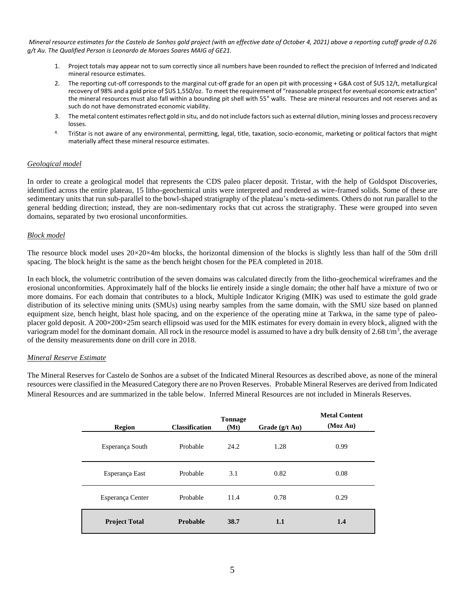*Mineral resource estimates for the Castelo de Sonhos gold project (with an effective date of October 4, 2021) above a reporting cutoff grade of 0.26 g/t Au. The Qualified Person is Leonardo de Moraes Soares MAIG of GE21.*

- 1. Project totals may appear not to sum correctly since all numbers have been rounded to reflect the precision of Inferred and Indicated mineral resource estimates.
- 2. The reporting cut-off corresponds to the marginal cut-off grade for an open pit with processing + G&A cost of \$US 12/t, metallurgical recovery of 98% and a gold price of \$US 1,550/oz. To meet the requirement of "reasonable prospect for eventual economic extraction" the mineral resources must also fall within a bounding pit shell with 55° walls. These are mineral resources and not reserves and as such do not have demonstrated economic viability.
- 3. The metal content estimates reflect gold in situ, and do not include factors such as external dilution, mining losses and process recovery losses.
- 4. TriStar is not aware of any environmental, permitting, legal, title, taxation, socio-economic, marketing or political factors that might materially affect these mineral resource estimates.

### *Geological model*

In order to create a geological model that represents the CDS paleo placer deposit. Tristar, with the help of Goldspot Discoveries, identified across the entire plateau, 15 litho-geochemical units were interpreted and rendered as wire-framed solids. Some of these are sedimentary units that run sub-parallel to the bowl-shaped stratigraphy of the plateau's meta-sediments. Others do not run parallel to the general bedding direction; instead, they are non-sedimentary rocks that cut across the stratigraphy. These were grouped into seven domains, separated by two erosional unconformities.

#### *Block model*

The resource block model uses  $20 \times 20 \times 4$ m blocks, the horizontal dimension of the blocks is slightly less than half of the 50m drill spacing. The block height is the same as the bench height chosen for the PEA completed in 2018.

In each block, the volumetric contribution of the seven domains was calculated directly from the litho-geochemical wireframes and the erosional unconformities. Approximately half of the blocks lie entirely inside a single domain; the other half have a mixture of two or more domains. For each domain that contributes to a block, Multiple Indicator Kriging (MIK) was used to estimate the gold grade distribution of its selective mining units (SMUs) using nearby samples from the same domain, with the SMU size based on planned equipment size, bench height, blast hole spacing, and on the experience of the operating mine at Tarkwa, in the same type of paleoplacer gold deposit. A 200×200×25m search ellipsoid was used for the MIK estimates for every domain in every block, aligned with the variogram model for the dominant domain. All rock in the resource model is assumed to have a dry bulk density of 2.68 t/m<sup>3</sup>, the average of the density measurements done on drill core in 2018.

#### *Mineral Reserve Estimate*

The Mineral Reserves for Castelo de Sonhos are a subset of the Indicated Mineral Resources as described above, as none of the mineral resources were classified in the Measured Category there are no Proven Reserves. Probable Mineral Reserves are derived from Indicated Mineral Resources and are summarized in the table below. Inferred Mineral Resources are not included in Minerals Reserves.

| <b>Region</b>        | <b>Classification</b> | <b>Tonnage</b><br>(Mt) | Grade $(g/t \text{ Au})$ | <b>Metal Content</b><br>(Moz Au) |
|----------------------|-----------------------|------------------------|--------------------------|----------------------------------|
| Esperança South      | Probable              | 24.2                   | 1.28                     | 0.99                             |
| Esperança East       | Probable              | 3.1                    | 0.82                     | 0.08                             |
| Esperança Center     | Probable              | 11.4                   | 0.78                     | 0.29                             |
| <b>Project Total</b> | Probable              | 38.7                   | 1.1                      | 1.4                              |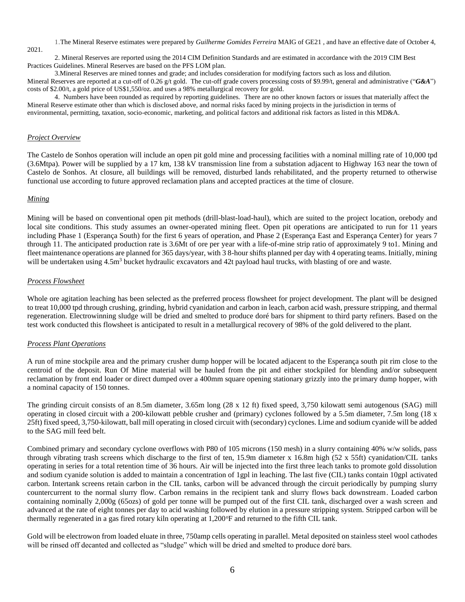1.The Mineral Reserve estimates were prepared by *Guilherme Gomides Ferreira* MAIG of GE21 , and have an effective date of October 4, 2021.

2. Mineral Reserves are reported using the 2014 CIM Definition Standards and are estimated in accordance with the 2019 CIM Best Practices Guidelines. Mineral Reserves are based on the PFS LOM plan.

3.Mineral Reserves are mined tonnes and grade; and includes consideration for modifying factors such as loss and dilution. Mineral Reserves are reported at a cut-off of 0.26 g/t gold. The cut-off grade covers processing costs of \$9.99/t, general and administrative ("*G&A*") costs of \$2.00/t, a gold price of US\$1,550/oz. and uses a 98% metallurgical recovery for gold.

4. Numbers have been rounded as required by reporting guidelines*.* There are no other known factors or issues that materially affect the Mineral Reserve estimate other than which is disclosed above, and normal risks faced by mining projects in the jurisdiction in terms of environmental, permitting, taxation, socio-economic, marketing, and political factors and additional risk factors as listed in this MD&A.

### *Project Overview*

The Castelo de Sonhos operation will include an open pit gold mine and processing facilities with a nominal milling rate of 10,000 tpd (3.6Mtpa). Power will be supplied by a 17 km, 138 kV transmission line from a substation adjacent to Highway 163 near the town of Castelo de Sonhos. At closure, all buildings will be removed, disturbed lands rehabilitated, and the property returned to otherwise functional use according to future approved reclamation plans and accepted practices at the time of closure.

#### *Mining*

Mining will be based on conventional open pit methods (drill-blast-load-haul), which are suited to the project location, orebody and local site conditions. This study assumes an owner-operated mining fleet. Open pit operations are anticipated to run for 11 years including Phase 1 (Esperança South) for the first 6 years of operation, and Phase 2 (Esperança East and Esperança Center) for years 7 through 11. The anticipated production rate is 3.6Mt of ore per year with a life-of-mine strip ratio of approximately 9 to1. Mining and fleet maintenance operations are planned for 365 days/year, with 3 8-hour shifts planned per day with 4 operating teams. Initially, mining will be undertaken using  $4.5m<sup>3</sup>$  bucket hydraulic excavators and  $42t$  payload haul trucks, with blasting of ore and waste.

#### *Process Flowsheet*

Whole ore agitation leaching has been selected as the preferred process flowsheet for project development. The plant will be designed to treat 10,000 tpd through crushing, grinding, hybrid cyanidation and carbon in leach, carbon acid wash, pressure stripping, and thermal regeneration. Electrowinning sludge will be dried and smelted to produce doré bars for shipment to third party refiners. Based on the test work conducted this flowsheet is anticipated to result in a metallurgical recovery of 98% of the gold delivered to the plant.

#### *Process Plant Operations*

A run of mine stockpile area and the primary crusher dump hopper will be located adjacent to the Esperança south pit rim close to the centroid of the deposit. Run Of Mine material will be hauled from the pit and either stockpiled for blending and/or subsequent reclamation by front end loader or direct dumped over a 400mm square opening stationary grizzly into the primary dump hopper, with a nominal capacity of 150 tonnes.

The grinding circuit consists of an 8.5m diameter, 3.65m long (28 x 12 ft) fixed speed, 3,750 kilowatt semi autogenous (SAG) mill operating in closed circuit with a 200-kilowatt pebble crusher and (primary) cyclones followed by a 5.5m diameter, 7.5m long (18 x 25ft) fixed speed, 3,750-kilowatt, ball mill operating in closed circuit with (secondary) cyclones. Lime and sodium cyanide will be added to the SAG mill feed belt.

Combined primary and secondary cyclone overflows with P80 of 105 microns (150 mesh) in a slurry containing 40% w/w solids, pass through vibrating trash screens which discharge to the first of ten, 15.9m diameter x 16.8m high (52 x 55ft) cyanidation/CIL tanks operating in series for a total retention time of 36 hours. Air will be injected into the first three leach tanks to promote gold dissolution and sodium cyanide solution is added to maintain a concentration of 1gpl in leaching. The last five (CIL) tanks contain 10gpl activated carbon. Intertank screens retain carbon in the CIL tanks, carbon will be advanced through the circuit periodically by pumping slurry countercurrent to the normal slurry flow. Carbon remains in the recipient tank and slurry flows back downstream. Loaded carbon containing nominally 2,000g (65ozs) of gold per tonne will be pumped out of the first CIL tank, discharged over a wash screen and advanced at the rate of eight tonnes per day to acid washing followed by elution in a pressure stripping system. Stripped carbon will be thermally regenerated in a gas fired rotary kiln operating at 1,200°F and returned to the fifth CIL tank.

Gold will be electrowon from loaded eluate in three, 750amp cells operating in parallel. Metal deposited on stainless steel wool cathodes will be rinsed off decanted and collected as "sludge" which will be dried and smelted to produce doré bars.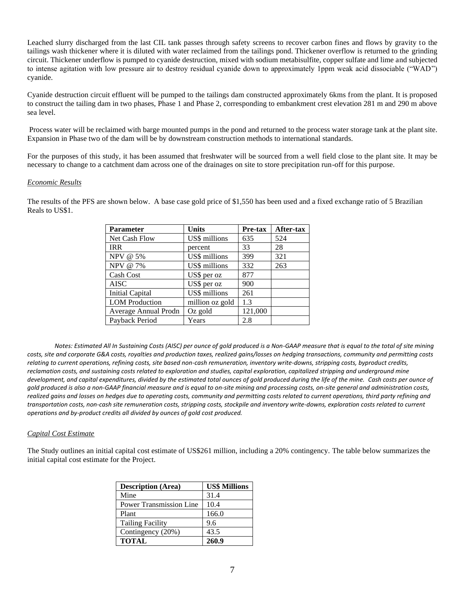Leached slurry discharged from the last CIL tank passes through safety screens to recover carbon fines and flows by gravity to the tailings wash thickener where it is diluted with water reclaimed from the tailings pond. Thickener overflow is returned to the grinding circuit. Thickener underflow is pumped to cyanide destruction, mixed with sodium metabisulfite, copper sulfate and lime and subjected to intense agitation with low pressure air to destroy residual cyanide down to approximately 1ppm weak acid dissociable ("WAD") cyanide.

Cyanide destruction circuit effluent will be pumped to the tailings dam constructed approximately 6kms from the plant. It is proposed to construct the tailing dam in two phases, Phase 1 and Phase 2, corresponding to embankment crest elevation 281 m and 290 m above sea level.

Process water will be reclaimed with barge mounted pumps in the pond and returned to the process water storage tank at the plant site. Expansion in Phase two of the dam will be by downstream construction methods to international standards.

For the purposes of this study, it has been assumed that freshwater will be sourced from a well field close to the plant site. It may be necessary to change to a catchment dam across one of the drainages on site to store precipitation run-off for this purpose.

#### *Economic Results*

The results of the PFS are shown below. A base case gold price of \$1,550 has been used and a fixed exchange ratio of 5 Brazilian Reals to US\$1.

| <b>Parameter</b>       | <b>Units</b>    | Pre-tax | After-tax |
|------------------------|-----------------|---------|-----------|
| Net Cash Flow          | US\$ millions   | 635     | 524       |
| <b>IRR</b>             | percent         | 33      | 28        |
| NPV @ 5%               | US\$ millions   | 399     | 321       |
| NPV @ 7%               | US\$ millions   | 332     | 263       |
| Cash Cost              | US\$ per oz     | 877     |           |
| <b>AISC</b>            | US\$ per oz     | 900     |           |
| <b>Initial Capital</b> | US\$ millions   | 261     |           |
| <b>LOM</b> Production  | million oz gold | 1.3     |           |
| Average Annual Prodn   | Oz gold         | 121,000 |           |
| Payback Period         | Years           | 2.8     |           |

*Notes: Estimated All In Sustaining Costs (AISC) per ounce of gold produced is a Non-GAAP measure that is equal to the total of site mining costs, site and corporate G&A costs, royalties and production taxes, realized gains/losses on hedging transactions, community and permitting costs relating to current operations, refining costs, site based non-cash remuneration, inventory write-downs, stripping costs, byproduct credits, reclamation costs, and sustaining costs related to exploration and studies, capital exploration, capitalized stripping and underground mine development, and capital expenditures, divided by the estimated total ounces of gold produced during the life of the mine. Cash costs per ounce of gold produced is also a non-GAAP financial measure and is equal to on-site mining and processing costs, on-site general and administration costs, realized gains and losses on hedges due to operating costs, community and permitting costs related to current operations, third party refining and transportation costs, non-cash site remuneration costs, stripping costs, stockpile and inventory write-downs, exploration costs related to current operations and by-product credits all divided by ounces of gold cost produced.* 

## *Capital Cost Estimate*

The Study outlines an initial capital cost estimate of US\$261 million, including a 20% contingency. The table below summarizes the initial capital cost estimate for the Project.

| <b>Description (Area)</b>      | <b>US\$ Millions</b> |
|--------------------------------|----------------------|
| Mine                           | 31.4                 |
| <b>Power Transmission Line</b> | 10.4                 |
| Plant                          | 166.0                |
| <b>Tailing Facility</b>        | 9.6                  |
| Contingency (20%)              | 43.5                 |
| <b>TOTAL</b>                   | 260.9                |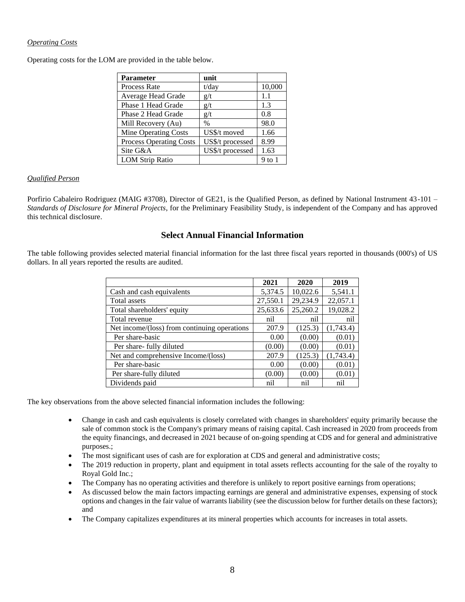## *Operating Costs*

Operating costs for the LOM are provided in the table below.

| <b>Parameter</b>               | unit             |        |
|--------------------------------|------------------|--------|
| <b>Process Rate</b>            | $t$ /day         | 10,000 |
| Average Head Grade             | g/t              | 1.1    |
| Phase 1 Head Grade             | g/t              | 1.3    |
| Phase 2 Head Grade             | g/t              | 0.8    |
| Mill Recovery (Au)             | $\frac{0}{0}$    | 98.0   |
| Mine Operating Costs           | US\$/t moved     | 1.66   |
| <b>Process Operating Costs</b> | US\$/t processed | 8.99   |
| Site G&A                       | US\$/t processed | 1.63   |
| <b>LOM Strip Ratio</b>         |                  | 9 to 1 |

## *Qualified Person*

Porfirio Cabaleiro Rodriguez (MAIG #3708), Director of GE21, is the Qualified Person, as defined by National Instrument 43-101 – *Standards of Disclosure for Mineral Projects*, for the Preliminary Feasibility Study, is independent of the Company and has approved this technical disclosure.

## **Select Annual Financial Information**

The table following provides selected material financial information for the last three fiscal years reported in thousands (000's) of US dollars. In all years reported the results are audited.

|                                              | 2021     | 2020     | 2019      |
|----------------------------------------------|----------|----------|-----------|
| Cash and cash equivalents                    | 5,374.5  | 10,022.6 | 5,541.1   |
| Total assets                                 | 27,550.1 | 29,234.9 | 22,057.1  |
| Total shareholders' equity                   | 25,633.6 | 25,260.2 | 19,028.2  |
| Total revenue                                | nil      | nil      | nil       |
| Net income/(loss) from continuing operations | 207.9    | (125.3)  | (1,743.4) |
| Per share-basic                              | 0.00     | (0.00)   | (0.01)    |
| Per share- fully diluted                     | (0.00)   | (0.00)   | (0.01)    |
| Net and comprehensive Income/(loss)          | 207.9    | (125.3)  | (1,743.4) |
| Per share-basic                              | 0.00     | (0.00)   | (0.01)    |
| Per share-fully diluted                      | (0.00)   | (0.00)   | (0.01)    |
| Dividends paid                               | nil      | nil      | nil       |

The key observations from the above selected financial information includes the following:

- Change in cash and cash equivalents is closely correlated with changes in shareholders' equity primarily because the sale of common stock is the Company's primary means of raising capital. Cash increased in 2020 from proceeds from the equity financings, and decreased in 2021 because of on-going spending at CDS and for general and administrative purposes.;
- The most significant uses of cash are for exploration at CDS and general and administrative costs;
- The 2019 reduction in property, plant and equipment in total assets reflects accounting for the sale of the royalty to Royal Gold Inc.;
- The Company has no operating activities and therefore is unlikely to report positive earnings from operations;
- As discussed below the main factors impacting earnings are general and administrative expenses, expensing of stock options and changes in the fair value of warrants liability (see the discussion below for further details on these factors); and
- The Company capitalizes expenditures at its mineral properties which accounts for increases in total assets.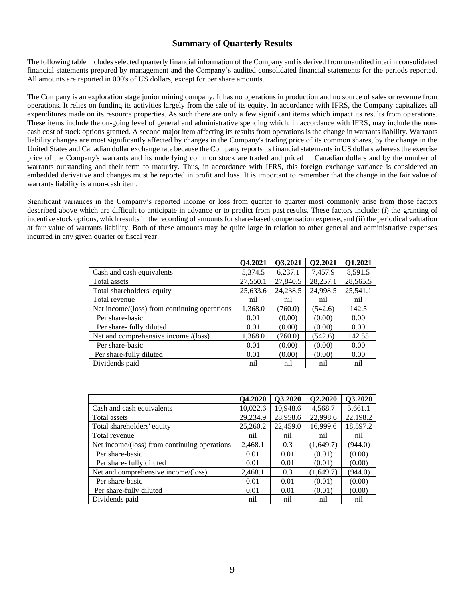# **Summary of Quarterly Results**

The following table includes selected quarterly financial information of the Company and is derived from unaudited interim consolidated financial statements prepared by management and the Company's audited consolidated financial statements for the periods reported. All amounts are reported in 000's of US dollars, except for per share amounts.

The Company is an exploration stage junior mining company. It has no operations in production and no source of sales or revenue from operations. It relies on funding its activities largely from the sale of its equity. In accordance with IFRS, the Company capitalizes all expenditures made on its resource properties. As such there are only a few significant items which impact its results from operations. These items include the on-going level of general and administrative spending which, in accordance with IFRS, may include the noncash cost of stock options granted. A second major item affecting its results from operations is the change in warrants liability. Warrants liability changes are most significantly affected by changes in the Company's trading price of its common shares, by the change in the United States and Canadian dollar exchange rate because the Company reports its financial statements in US dollars whereas the exercise price of the Company's warrants and its underlying common stock are traded and priced in Canadian dollars and by the number of warrants outstanding and their term to maturity. Thus, in accordance with IFRS, this foreign exchange variance is considered an embedded derivative and changes must be reported in profit and loss. It is important to remember that the change in the fair value of warrants liability is a non-cash item.

Significant variances in the Company's reported income or loss from quarter to quarter most commonly arise from those factors described above which are difficult to anticipate in advance or to predict from past results. These factors include: (i) the granting of incentive stock options, which results in the recording of amounts for share-based compensation expense, and (ii) the periodical valuation at fair value of warrants liability. Both of these amounts may be quite large in relation to other general and administrative expenses incurred in any given quarter or fiscal year.

|                                              | Q4.2021  | Q3.2021  | Q2.2021  | Q1.2021  |
|----------------------------------------------|----------|----------|----------|----------|
| Cash and cash equivalents                    | 5,374.5  | 6,237.1  | 7,457.9  | 8,591.5  |
| Total assets                                 | 27,550.1 | 27,840.5 | 28,257.1 | 28,565.5 |
| Total shareholders' equity                   | 25,633.6 | 24,238.5 | 24,998.5 | 25,541.1 |
| Total revenue                                | nil      | nil      | nil      | nil      |
| Net income/(loss) from continuing operations | 1,368.0  | (760.0)  | (542.6)  | 142.5    |
| Per share-basic                              | 0.01     | (0.00)   | (0.00)   | 0.00     |
| Per share- fully diluted                     | 0.01     | (0.00)   | (0.00)   | 0.00     |
| Net and comprehensive income /(loss)         | 1,368.0  | (760.0)  | (542.6)  | 142.55   |
| Per share-basic                              | 0.01     | (0.00)   | (0.00)   | 0.00     |
| Per share-fully diluted                      | 0.01     | (0.00)   | (0.00)   | 0.00     |
| Dividends paid                               | nil      | nil      | nil      | nil      |

|                                              | Q4.2020  | Q3.2020  | Q2.2020   | Q3.2020  |
|----------------------------------------------|----------|----------|-----------|----------|
| Cash and cash equivalents                    | 10,022.6 | 10,948.6 | 4,568.7   | 5,661.1  |
| Total assets                                 | 29,234.9 | 28,958.6 | 22,998.6  | 22,198.2 |
| Total shareholders' equity                   | 25,260.2 | 22,459.0 | 16,999.6  | 18,597.2 |
| Total revenue                                | nil      | nil      | nil       | nil      |
| Net income/(loss) from continuing operations | 2,468.1  | 0.3      | (1,649.7) | (944.0)  |
| Per share-basic                              | 0.01     | 0.01     | (0.01)    | (0.00)   |
| Per share- fully diluted                     | 0.01     | 0.01     | (0.01)    | (0.00)   |
| Net and comprehensive income/(loss)          | 2,468.1  | 0.3      | (1,649.7) | (944.0)  |
| Per share-basic                              | 0.01     | 0.01     | (0.01)    | (0.00)   |
| Per share-fully diluted                      | 0.01     | 0.01     | (0.01)    | (0.00)   |
| Dividends paid                               | nil      | nil      | nil       | nil      |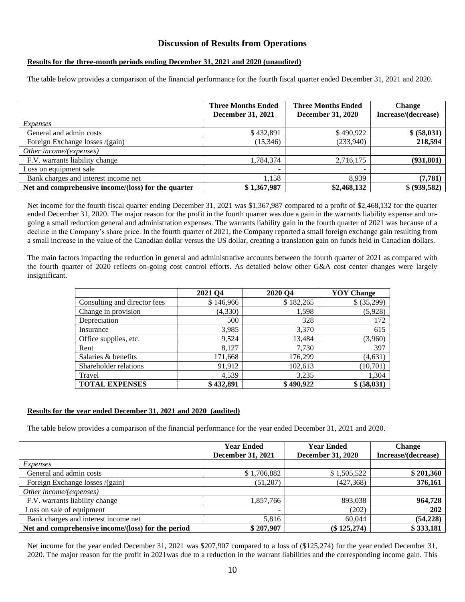# **Discussion of Results from Operations**

## **Results for the three-month periods ending December 31, 2021 and 2020 (unaudited)**

The table below provides a comparison of the financial performance for the fourth fiscal quarter ended December 31, 2021 and 2020.

|                                                     | <b>Three Months Ended</b><br><b>December 31, 2021</b> | <b>Three Months Ended</b><br><b>December 31, 2020</b> | <b>Change</b><br>Increase/(decrease) |
|-----------------------------------------------------|-------------------------------------------------------|-------------------------------------------------------|--------------------------------------|
| Expenses                                            |                                                       |                                                       |                                      |
| General and admin costs                             | \$432,891                                             | \$490,922                                             | \$ (58,031)                          |
| Foreign Exchange losses /(gain)                     | (15, 346)                                             | (233,940)                                             | 218,594                              |
| Other income/(expenses)                             |                                                       |                                                       |                                      |
| F.V. warrants liability change                      | 1,784,374                                             | 2,716,175                                             | (931, 801)                           |
| Loss on equipment sale                              |                                                       |                                                       |                                      |
| Bank charges and interest income net                | 1.158                                                 | 8.939                                                 | (7, 781)                             |
| Net and comprehensive income/(loss) for the quarter | \$1,367,987                                           | \$2,468,132                                           | \$ (939,582)                         |

Net income for the fourth fiscal quarter ending December 31, 2021 was \$1,367,987 compared to a profit of \$2,468,132 for the quarter ended December 31, 2020. The major reason for the profit in the fourth quarter was due a gain in the warrants liability expense and ongoing a small reduction general and administration expenses. The warrants liability gain in the fourth quarter of 2021 was because of a decline in the Company's share price. In the fourth quarter of 2021, the Company reported a small foreign exchange gain resulting from a small increase in the value of the Canadian dollar versus the US dollar, creating a translation gain on funds held in Canadian dollars.

The main factors impacting the reduction in general and administrative accounts between the fourth quarter of 2021 as compared with the fourth quarter of 2020 reflects on-going cost control efforts. As detailed below other G&A cost center changes were largely insignificant.

|                              | 2021 Q4   | 2020 Q4   | <b>YOY</b> Change |
|------------------------------|-----------|-----------|-------------------|
| Consulting and director fees | \$146,966 | \$182,265 | \$(35,299)        |
| Change in provision          | (4,330)   | 1,598     | (5,928)           |
| Depreciation                 | 500       | 328       | 172               |
| Insurance                    | 3,985     | 3,370     | 615               |
| Office supplies, etc.        | 9,524     | 13,484    | (3,960)           |
| Rent                         | 8,127     | 7,730     | 397               |
| Salaries & benefits          | 171,668   | 176,299   | (4, 631)          |
| Shareholder relations        | 91,912    | 102,613   | (10,701)          |
| Travel                       | 4,539     | 3,235     | 1,304             |
| <b>TOTAL EXPENSES</b>        | \$432,891 | \$490,922 | \$ (58,031)       |

## **Results for the year ended December 31, 2021 and 2020 (audited)**

The table below provides a comparison of the financial performance for the year ended December 31, 2021 and 2020.

|                                                    | <b>Year Ended</b>        | <b>Year Ended</b>        | <b>Change</b>       |
|----------------------------------------------------|--------------------------|--------------------------|---------------------|
|                                                    | <b>December 31, 2021</b> | <b>December 31, 2020</b> | Increase/(decrease) |
| Expenses                                           |                          |                          |                     |
| General and admin costs                            | \$1,706,882              | \$1,505,522              | \$201,360           |
| Foreign Exchange losses /(gain)                    | (51,207)                 | (427,368)                | 376,161             |
| Other income/(expenses)                            |                          |                          |                     |
| F.V. warrants liability change                     | 1,857,766                | 893,038                  | 964,728             |
| Loss on sale of equipment                          |                          | (202)                    | 202                 |
| Bank charges and interest income net               | 5,816                    | 60.044                   | (54, 228)           |
| Net and comprehensive income/(loss) for the period | \$207,907                | $(\$125,274)$            | \$333,181           |

Net income for the year ended December 31, 2021 was \$207,907 compared to a loss of (\$125,274) for the year ended December 31, 2020. The major reason for the profit in 2021was due to a reduction in the warrant liabilities and the corresponding income gain. This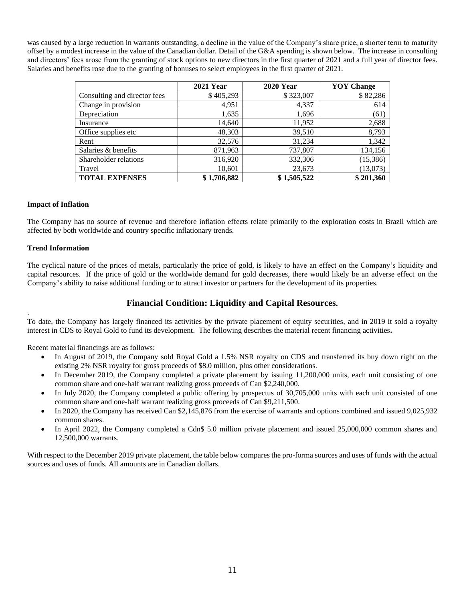was caused by a large reduction in warrants outstanding, a decline in the value of the Company's share price, a shorter term to maturity offset by a modest increase in the value of the Canadian dollar. Detail of the G&A spending is shown below. The increase in consulting and directors' fees arose from the granting of stock options to new directors in the first quarter of 2021 and a full year of director fees. Salaries and benefits rose due to the granting of bonuses to select employees in the first quarter of 2021.

|                              | <b>2021 Year</b> | <b>2020 Year</b> | <b>YOY</b> Change |
|------------------------------|------------------|------------------|-------------------|
| Consulting and director fees | \$405,293        | \$323,007        | \$82,286          |
| Change in provision          | 4.951            | 4,337            | 614               |
| Depreciation                 | 1,635            | 1,696            | (61)              |
| Insurance                    | 14,640           | 11,952           | 2,688             |
| Office supplies etc          | 48,303           | 39,510           | 8,793             |
| Rent                         | 32,576           | 31,234           | 1,342             |
| Salaries & benefits          | 871,963          | 737,807          | 134,156           |
| Shareholder relations        | 316,920          | 332,306          | (15,386)          |
| Travel                       | 10,601           | 23,673           | (13,073)          |
| <b>TOTAL EXPENSES</b>        | \$1,706,882      | \$1,505,522      | \$201,360         |

## **Impact of Inflation**

The Company has no source of revenue and therefore inflation effects relate primarily to the exploration costs in Brazil which are affected by both worldwide and country specific inflationary trends.

## **Trend Information**

The cyclical nature of the prices of metals, particularly the price of gold, is likely to have an effect on the Company's liquidity and capital resources. If the price of gold or the worldwide demand for gold decreases, there would likely be an adverse effect on the Company's ability to raise additional funding or to attract investor or partners for the development of its properties.

# **Financial Condition: Liquidity and Capital Resources.**

. To date, the Company has largely financed its activities by the private placement of equity securities, and in 2019 it sold a royalty interest in CDS to Royal Gold to fund its development. The following describes the material recent financing activities**.**

Recent material financings are as follows:

- In August of 2019, the Company sold Royal Gold a 1.5% NSR royalty on CDS and transferred its buy down right on the existing 2% NSR royalty for gross proceeds of \$8.0 million, plus other considerations.
- In December 2019, the Company completed a private placement by issuing 11,200,000 units, each unit consisting of one common share and one-half warrant realizing gross proceeds of Can \$2,240,000.
- In July 2020, the Company completed a public offering by prospectus of 30,705,000 units with each unit consisted of one common share and one-half warrant realizing gross proceeds of Can \$9,211,500.
- In 2020, the Company has received Can \$2,145,876 from the exercise of warrants and options combined and issued 9,025,932 common shares.
- In April 2022, the Company completed a Cdn\$ 5.0 million private placement and issued 25,000,000 common shares and 12,500,000 warrants.

With respect to the December 2019 private placement, the table below compares the pro-forma sources and uses of funds with the actual sources and uses of funds. All amounts are in Canadian dollars.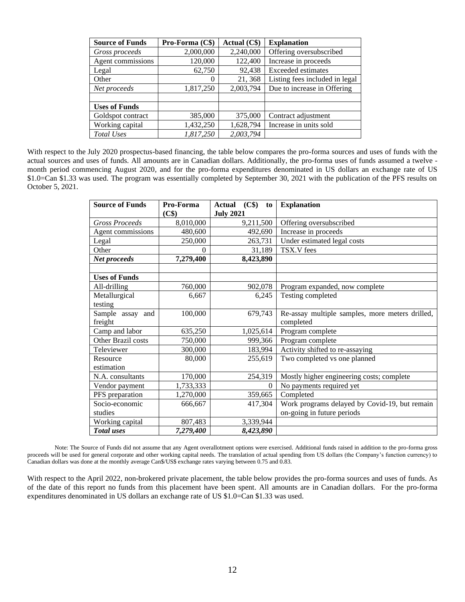| <b>Source of Funds</b> | Pro-Forma (C\$) | Actual (C\$) | <b>Explanation</b>             |
|------------------------|-----------------|--------------|--------------------------------|
| Gross proceeds         | 2,000,000       | 2,240,000    | Offering oversubscribed        |
| Agent commissions      | 120,000         | 122,400      | Increase in proceeds           |
| Legal                  | 62,750          | 92,438       | <b>Exceeded</b> estimates      |
| Other                  | 0               | 21,368       | Listing fees included in legal |
| Net proceeds           | 1,817,250       | 2,003,794    | Due to increase in Offering    |
|                        |                 |              |                                |
| <b>Uses of Funds</b>   |                 |              |                                |
| Goldspot contract      | 385,000         | 375,000      | Contract adjustment            |
| Working capital        | 1,432,250       | 1,628,794    | Increase in units sold         |
| Total Uses             | 1,817,250       | 2,003,794    |                                |

With respect to the July 2020 prospectus-based financing, the table below compares the pro-forma sources and uses of funds with the actual sources and uses of funds. All amounts are in Canadian dollars. Additionally, the pro-forma uses of funds assumed a twelve month period commencing August 2020, and for the pro-forma expenditures denominated in US dollars an exchange rate of US \$1.0=Can \$1.33 was used. The program was essentially completed by September 30, 2021 with the publication of the PFS results on October 5, 2021.

| <b>Source of Funds</b> | Pro-Forma | $(C$ \$<br><b>Actual</b><br>to | <b>Explanation</b>                              |
|------------------------|-----------|--------------------------------|-------------------------------------------------|
|                        | (C\$)     | <b>July 2021</b>               |                                                 |
| <b>Gross Proceeds</b>  | 8,010,000 | 9,211,500                      | Offering oversubscribed                         |
| Agent commissions      | 480,600   | 492,690                        | Increase in proceeds                            |
| Legal                  | 250,000   | 263,731                        | Under estimated legal costs                     |
| Other                  | 0         | 31,189                         | TSX.V fees                                      |
| Net proceeds           | 7,279,400 | 8,423,890                      |                                                 |
|                        |           |                                |                                                 |
| <b>Uses of Funds</b>   |           |                                |                                                 |
| All-drilling           | 760,000   | 902,078                        | Program expanded, now complete                  |
| Metallurgical          | 6,667     | 6,245                          | Testing completed                               |
| testing                |           |                                |                                                 |
| Sample assay and       | 100,000   | 679,743                        | Re-assay multiple samples, more meters drilled, |
| freight                |           |                                | completed                                       |
| Camp and labor         | 635,250   | 1,025,614                      | Program complete                                |
| Other Brazil costs     | 750,000   | 999,366                        | Program complete                                |
| Televiewer             | 300,000   | 183,994                        | Activity shifted to re-assaying                 |
| Resource               | 80,000    | 255,619                        | Two completed vs one planned                    |
| estimation             |           |                                |                                                 |
| N.A. consultants       | 170,000   | 254,319                        | Mostly higher engineering costs; complete       |
| Vendor payment         | 1,733,333 | $\theta$                       | No payments required yet                        |
| PFS preparation        | 1,270,000 | 359,665                        | Completed                                       |
| Socio-economic         | 666,667   | 417,304                        | Work programs delayed by Covid-19, but remain   |
| studies                |           |                                | on-going in future periods                      |
| Working capital        | 807,483   | 3,339,944                      |                                                 |
| <b>Total</b> uses      | 7,279,400 | 8,423,890                      |                                                 |

Note: The Source of Funds did not assume that any Agent overallotment options were exercised. Additional funds raised in addition to the pro-forma gross proceeds will be used for general corporate and other working capital needs. The translation of actual spending from US dollars (the Company's function currency) to Canadian dollars was done at the monthly average Can\$/US\$ exchange rates varying between 0.75 and 0.83.

With respect to the April 2022, non-brokered private placement, the table below provides the pro-forma sources and uses of funds. As of the date of this report no funds from this placement have been spent. All amounts are in Canadian dollars. For the pro-forma expenditures denominated in US dollars an exchange rate of US \$1.0=Can \$1.33 was used.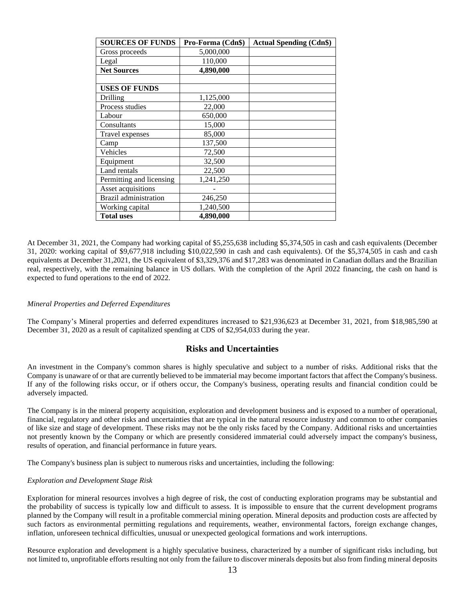| <b>SOURCES OF FUNDS</b>      | Pro-Forma (Cdn\$) | <b>Actual Spending (Cdn\$)</b> |
|------------------------------|-------------------|--------------------------------|
| Gross proceeds               | 5,000,000         |                                |
| Legal                        | 110,000           |                                |
| <b>Net Sources</b>           | 4,890,000         |                                |
|                              |                   |                                |
| <b>USES OF FUNDS</b>         |                   |                                |
| Drilling                     | 1,125,000         |                                |
| Process studies              | 22,000            |                                |
| Labour                       | 650,000           |                                |
| Consultants                  | 15,000            |                                |
| Travel expenses              | 85,000            |                                |
| Camp                         | 137,500           |                                |
| Vehicles                     | 72,500            |                                |
| Equipment                    | 32,500            |                                |
| Land rentals                 | 22,500            |                                |
| Permitting and licensing     | 1,241,250         |                                |
| Asset acquisitions           |                   |                                |
| <b>Brazil</b> administration | 246,250           |                                |
| Working capital              | 1,240,500         |                                |
| <b>Total uses</b>            | 4,890,000         |                                |

At December 31, 2021, the Company had working capital of \$5,255,638 including \$5,374,505 in cash and cash equivalents (December 31, 2020: working capital of \$9,677,918 including \$10,022,590 in cash and cash equivalents). Of the \$5,374,505 in cash and cash equivalents at December 31,2021, the US equivalent of \$3,329,376 and \$17,283 was denominated in Canadian dollars and the Brazilian real, respectively, with the remaining balance in US dollars. With the completion of the April 2022 financing, the cash on hand is expected to fund operations to the end of 2022.

#### *Mineral Properties and Deferred Expenditures*

The Company's Mineral properties and deferred expenditures increased to \$21,936,623 at December 31, 2021, from \$18,985,590 at December 31, 2020 as a result of capitalized spending at CDS of \$2,954,033 during the year.

## **Risks and Uncertainties**

An investment in the Company's common shares is highly speculative and subject to a number of risks. Additional risks that the Company is unaware of or that are currently believed to be immaterial may become important factors that affect the Company's business. If any of the following risks occur, or if others occur, the Company's business, operating results and financial condition could be adversely impacted.

The Company is in the mineral property acquisition, exploration and development business and is exposed to a number of operational, financial, regulatory and other risks and uncertainties that are typical in the natural resource industry and common to other companies of like size and stage of development. These risks may not be the only risks faced by the Company. Additional risks and uncertainties not presently known by the Company or which are presently considered immaterial could adversely impact the company's business, results of operation, and financial performance in future years.

The Company's business plan is subject to numerous risks and uncertainties, including the following:

#### *Exploration and Development Stage Risk*

Exploration for mineral resources involves a high degree of risk, the cost of conducting exploration programs may be substantial and the probability of success is typically low and difficult to assess. It is impossible to ensure that the current development programs planned by the Company will result in a profitable commercial mining operation. Mineral deposits and production costs are affected by such factors as environmental permitting regulations and requirements, weather, environmental factors, foreign exchange changes, inflation, unforeseen technical difficulties, unusual or unexpected geological formations and work interruptions.

Resource exploration and development is a highly speculative business, characterized by a number of significant risks including, but not limited to, unprofitable efforts resulting not only from the failure to discover minerals deposits but also from finding mineral deposits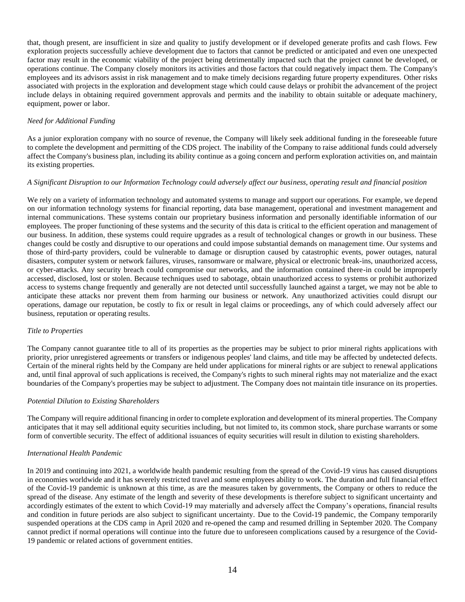that, though present, are insufficient in size and quality to justify development or if developed generate profits and cash flows. Few exploration projects successfully achieve development due to factors that cannot be predicted or anticipated and even one unexpected factor may result in the economic viability of the project being detrimentally impacted such that the project cannot be developed, or operations continue. The Company closely monitors its activities and those factors that could negatively impact them. The Company's employees and its advisors assist in risk management and to make timely decisions regarding future property expenditures. Other risks associated with projects in the exploration and development stage which could cause delays or prohibit the advancement of the project include delays in obtaining required government approvals and permits and the inability to obtain suitable or adequate machinery, equipment, power or labor.

## *Need for Additional Funding*

As a junior exploration company with no source of revenue, the Company will likely seek additional funding in the foreseeable future to complete the development and permitting of the CDS project. The inability of the Company to raise additional funds could adversely affect the Company's business plan, including its ability continue as a going concern and perform exploration activities on, and maintain its existing properties.

### *A Significant Disruption to our Information Technology could adversely affect our business, operating result and financial position*

We rely on a variety of information technology and automated systems to manage and support our operations. For example, we depend on our information technology systems for financial reporting, data base management, operational and investment management and internal communications. These systems contain our proprietary business information and personally identifiable information of our employees. The proper functioning of these systems and the security of this data is critical to the efficient operation and management of our business. In addition, these systems could require upgrades as a result of technological changes or growth in our business. These changes could be costly and disruptive to our operations and could impose substantial demands on management time. Our systems and those of third-party providers, could be vulnerable to damage or disruption caused by catastrophic events, power outages, natural disasters, computer system or network failures, viruses, ransomware or malware, physical or electronic break-ins, unauthorized access, or cyber-attacks. Any security breach could compromise our networks, and the information contained there-in could be improperly accessed, disclosed, lost or stolen. Because techniques used to sabotage, obtain unauthorized access to systems or prohibit authorized access to systems change frequently and generally are not detected until successfully launched against a target, we may not be able to anticipate these attacks nor prevent them from harming our business or network. Any unauthorized activities could disrupt our operations, damage our reputation, be costly to fix or result in legal claims or proceedings, any of which could adversely affect our business, reputation or operating results.

#### *Title to Properties*

The Company cannot guarantee title to all of its properties as the properties may be subject to prior mineral rights applications with priority, prior unregistered agreements or transfers or indigenous peoples' land claims, and title may be affected by undetected defects. Certain of the mineral rights held by the Company are held under applications for mineral rights or are subject to renewal applications and, until final approval of such applications is received, the Company's rights to such mineral rights may not materialize and the exact boundaries of the Company's properties may be subject to adjustment. The Company does not maintain title insurance on its properties.

#### *Potential Dilution to Existing Shareholders*

The Company will require additional financing in order to complete exploration and development of its mineral properties. The Company anticipates that it may sell additional equity securities including, but not limited to, its common stock, share purchase warrants or some form of convertible security. The effect of additional issuances of equity securities will result in dilution to existing shareholders.

#### *International Health Pandemic*

In 2019 and continuing into 2021, a worldwide health pandemic resulting from the spread of the Covid-19 virus has caused disruptions in economies worldwide and it has severely restricted travel and some employees ability to work. The duration and full financial effect of the Covid-19 pandemic is unknown at this time, as are the measures taken by governments, the Company or others to reduce the spread of the disease. Any estimate of the length and severity of these developments is therefore subject to significant uncertainty and accordingly estimates of the extent to which Covid-19 may materially and adversely affect the Company's operations, financial results and condition in future periods are also subject to significant uncertainty. Due to the Covid-19 pandemic, the Company temporarily suspended operations at the CDS camp in April 2020 and re-opened the camp and resumed drilling in September 2020. The Company cannot predict if normal operations will continue into the future due to unforeseen complications caused by a resurgence of the Covid-19 pandemic or related actions of government entities.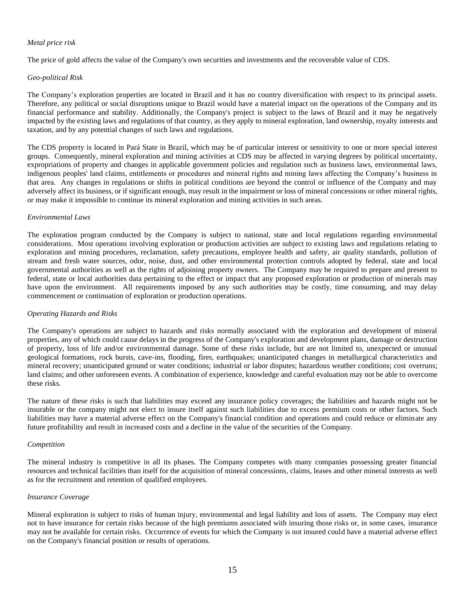### *Metal price risk*

The price of gold affects the value of the Company's own securities and investments and the recoverable value of CDS.

### *Geo-political Risk*

The Company's exploration properties are located in Brazil and it has no country diversification with respect to its principal assets. Therefore, any political or social disruptions unique to Brazil would have a material impact on the operations of the Company and its financial performance and stability. Additionally, the Company's project is subject to the laws of Brazil and it may be negatively impacted by the existing laws and regulations of that country, as they apply to mineral exploration, land ownership, royalty interests and taxation, and by any potential changes of such laws and regulations.

The CDS property is located in Pará State in Brazil, which may be of particular interest or sensitivity to one or more special interest groups. Consequently, mineral exploration and mining activities at CDS may be affected in varying degrees by political uncertainty, expropriations of property and changes in applicable government policies and regulation such as business laws, environmental laws, indigenous peoples' land claims, entitlements or procedures and mineral rights and mining laws affecting the Company's business in that area. Any changes in regulations or shifts in political conditions are beyond the control or influence of the Company and may adversely affect its business, or if significant enough, may result in the impairment or loss of mineral concessions or other mineral rights, or may make it impossible to continue its mineral exploration and mining activities in such areas.

### *Environmental Laws*

The exploration program conducted by the Company is subject to national, state and local regulations regarding environmental considerations. Most operations involving exploration or production activities are subject to existing laws and regulations relating to exploration and mining procedures, reclamation, safety precautions, employee health and safety, air quality standards, pollution of stream and fresh water sources, odor, noise, dust, and other environmental protection controls adopted by federal, state and local governmental authorities as well as the rights of adjoining property owners. The Company may be required to prepare and present to federal, state or local authorities data pertaining to the effect or impact that any proposed exploration or production of minerals may have upon the environment. All requirements imposed by any such authorities may be costly, time consuming, and may delay commencement or continuation of exploration or production operations.

## *Operating Hazards and Risks*

The Company's operations are subject to hazards and risks normally associated with the exploration and development of mineral properties, any of which could cause delays in the progress of the Company's exploration and development plans, damage or destruction of property, loss of life and/or environmental damage. Some of these risks include, but are not limited to, unexpected or unusual geological formations, rock bursts, cave-ins, flooding, fires, earthquakes; unanticipated changes in metallurgical characteristics and mineral recovery; unanticipated ground or water conditions; industrial or labor disputes; hazardous weather conditions; cost overruns; land claims; and other unforeseen events. A combination of experience, knowledge and careful evaluation may not be able to overcome these risks.

The nature of these risks is such that liabilities may exceed any insurance policy coverages; the liabilities and hazards might not be insurable or the company might not elect to insure itself against such liabilities due to excess premium costs or other factors. Such liabilities may have a material adverse effect on the Company's financial condition and operations and could reduce or eliminate any future profitability and result in increased costs and a decline in the value of the securities of the Company.

#### *Competition*

The mineral industry is competitive in all its phases. The Company competes with many companies possessing greater financial resources and technical facilities than itself for the acquisition of mineral concessions, claims, leases and other mineral interests as well as for the recruitment and retention of qualified employees.

#### *Insurance Coverage*

Mineral exploration is subject to risks of human injury, environmental and legal liability and loss of assets. The Company may elect not to have insurance for certain risks because of the high premiums associated with insuring those risks or, in some cases, insurance may not be available for certain risks. Occurrence of events for which the Company is not insured could have a material adverse effect on the Company's financial position or results of operations.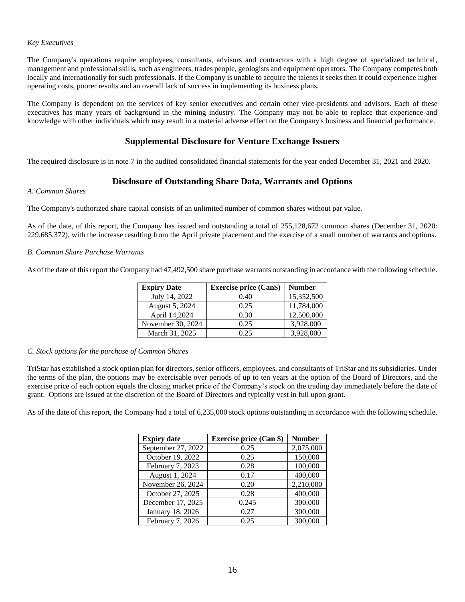### *Key Executives*

The Company's operations require employees, consultants, advisors and contractors with a high degree of specialized technical, management and professional skills, such as engineers, trades people, geologists and equipment operators. The Company competes both locally and internationally for such professionals. If the Company is unable to acquire the talents it seeks then it could experience higher operating costs, poorer results and an overall lack of success in implementing its business plans.

The Company is dependent on the services of key senior executives and certain other vice-presidents and advisors. Each of these executives has many years of background in the mining industry. The Company may not be able to replace that experience and knowledge with other individuals which may result in a material adverse effect on the Company's business and financial performance.

# **Supplemental Disclosure for Venture Exchange Issuers**

The required disclosure is in note 7 in the audited consolidated financial statements for the year ended December 31, 2021 and 2020.

# **Disclosure of Outstanding Share Data, Warrants and Options**

#### *A. Common Shares*

The Company's authorized share capital consists of an unlimited number of common shares without par value.

As of the date, of this report, the Company has issued and outstanding a total of 255,128,672 common shares (December 31, 2020: 229,685,372), with the increase resulting from the April private placement and the exercise of a small number of warrants and options.

### *B. Common Share Purchase Warrants*

As of the date of this report the Company had 47,492,500 share purchase warrants outstanding in accordance with the following schedule.

| <b>Expiry Date</b> | <b>Exercise price (Can\$)</b> | <b>Number</b> |
|--------------------|-------------------------------|---------------|
| July 14, 2022      | 0.40                          | 15,352,500    |
| August 5, 2024     | 0.25                          | 11,784,000    |
| April 14,2024      | 0.30                          | 12,500,000    |
| November 30, 2024  | 0.25                          | 3,928,000     |
| March 31, 2025     | 0.25                          | 3,928,000     |

#### *C. Stock options for the purchase of Common Shares*

TriStar has established a stock option plan for directors, senior officers, employees, and consultants of TriStar and its subsidiaries. Under the terms of the plan, the options may be exercisable over periods of up to ten years at the option of the Board of Directors, and the exercise price of each option equals the closing market price of the Company's stock on the trading day immediately before the date of grant. Options are issued at the discretion of the Board of Directors and typically vest in full upon grant.

As of the date of this report, the Company had a total of 6,235,000 stock options outstanding in accordance with the following schedule.

| <b>Expiry date</b> | <b>Exercise price (Can \$)</b> | <b>Number</b> |
|--------------------|--------------------------------|---------------|
| September 27, 2022 | 0.25                           | 2,075,000     |
| October 19, 2022   | 0.25                           | 150,000       |
| February 7, 2023   | 0.28                           | 100,000       |
| August 1, 2024     | 0.17                           | 400,000       |
| November 26, 2024  | 0.20                           | 2,210,000     |
| October 27, 2025   | 0.28                           | 400,000       |
| December 17, 2025  | 0.245                          | 300,000       |
| January 18, 2026   | 0.27                           | 300,000       |
| February 7, 2026   | 0.25                           | 300,000       |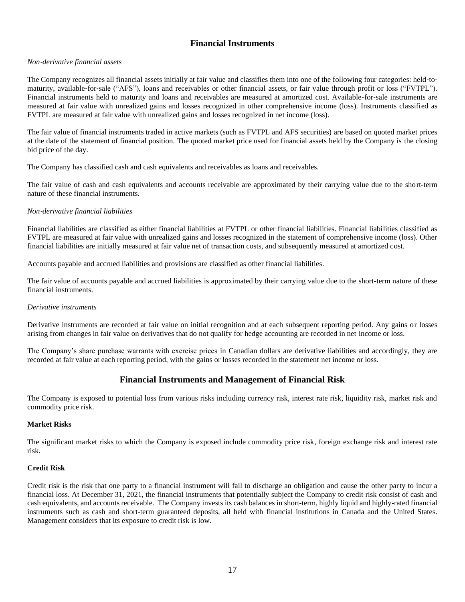# **Financial Instruments**

### *Non*‐*derivative financial assets*

The Company recognizes all financial assets initially at fair value and classifies them into one of the following four categories: held‐to‐ maturity, available-for-sale ("AFS"), loans and receivables or other financial assets, or fair value through profit or loss ("FVTPL"). Financial instruments held to maturity and loans and receivables are measured at amortized cost. Available-for-sale instruments are measured at fair value with unrealized gains and losses recognized in other comprehensive income (loss). Instruments classified as FVTPL are measured at fair value with unrealized gains and losses recognized in net income (loss).

The fair value of financial instruments traded in active markets (such as FVTPL and AFS securities) are based on quoted market prices at the date of the statement of financial position. The quoted market price used for financial assets held by the Company is the closing bid price of the day.

The Company has classified cash and cash equivalents and receivables as loans and receivables.

The fair value of cash and cash equivalents and accounts receivable are approximated by their carrying value due to the short-term nature of these financial instruments.

### *Non*‐*derivative financial liabilities*

Financial liabilities are classified as either financial liabilities at FVTPL or other financial liabilities. Financial liabilities classified as FVTPL are measured at fair value with unrealized gains and losses recognized in the statement of comprehensive income (loss). Other financial liabilities are initially measured at fair value net of transaction costs, and subsequently measured at amortized cost.

Accounts payable and accrued liabilities and provisions are classified as other financial liabilities.

The fair value of accounts payable and accrued liabilities is approximated by their carrying value due to the short-term nature of these financial instruments.

#### *Derivative instruments*

Derivative instruments are recorded at fair value on initial recognition and at each subsequent reporting period. Any gains or losses arising from changes in fair value on derivatives that do not qualify for hedge accounting are recorded in net income or loss.

The Company's share purchase warrants with exercise prices in Canadian dollars are derivative liabilities and accordingly, they are recorded at fair value at each reporting period, with the gains or losses recorded in the statement net income or loss.

## **Financial Instruments and Management of Financial Risk**

The Company is exposed to potential loss from various risks including currency risk, interest rate risk, liquidity risk, market risk and commodity price risk.

#### **Market Risks**

The significant market risks to which the Company is exposed include commodity price risk, foreign exchange risk and interest rate risk.

## **Credit Risk**

Credit risk is the risk that one party to a financial instrument will fail to discharge an obligation and cause the other party to incur a financial loss. At December 31, 2021, the financial instruments that potentially subject the Company to credit risk consist of cash and cash equivalents, and accounts receivable. The Company invests its cash balances in short-term, highly liquid and highly-rated financial instruments such as cash and short-term guaranteed deposits, all held with financial institutions in Canada and the United States. Management considers that its exposure to credit risk is low.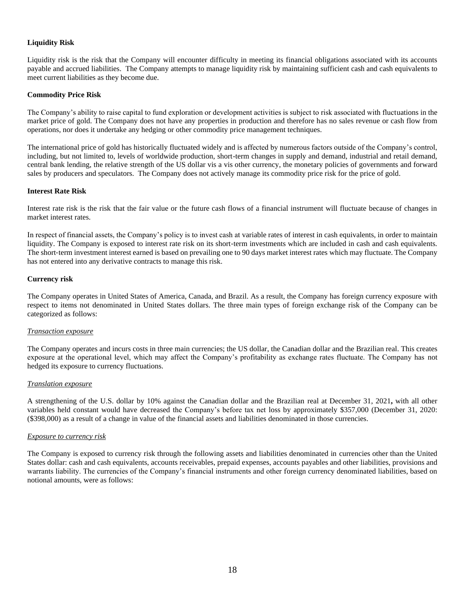## **Liquidity Risk**

Liquidity risk is the risk that the Company will encounter difficulty in meeting its financial obligations associated with its accounts payable and accrued liabilities. The Company attempts to manage liquidity risk by maintaining sufficient cash and cash equivalents to meet current liabilities as they become due.

#### **Commodity Price Risk**

The Company's ability to raise capital to fund exploration or development activities is subject to risk associated with fluctuations in the market price of gold. The Company does not have any properties in production and therefore has no sales revenue or cash flow from operations, nor does it undertake any hedging or other commodity price management techniques.

The international price of gold has historically fluctuated widely and is affected by numerous factors outside of the Company's control, including, but not limited to, levels of worldwide production, short-term changes in supply and demand, industrial and retail demand, central bank lending, the relative strength of the US dollar vis a vis other currency, the monetary policies of governments and forward sales by producers and speculators. The Company does not actively manage its commodity price risk for the price of gold.

#### **Interest Rate Risk**

Interest rate risk is the risk that the fair value or the future cash flows of a financial instrument will fluctuate because of changes in market interest rates.

In respect of financial assets, the Company's policy is to invest cash at variable rates of interest in cash equivalents, in order to maintain liquidity. The Company is exposed to interest rate risk on its short-term investments which are included in cash and cash equivalents. The short-term investment interest earned is based on prevailing one to 90 days market interest rates which may fluctuate. The Company has not entered into any derivative contracts to manage this risk.

#### **Currency risk**

The Company operates in United States of America, Canada, and Brazil. As a result, the Company has foreign currency exposure with respect to items not denominated in United States dollars. The three main types of foreign exchange risk of the Company can be categorized as follows:

#### *Transaction exposure*

The Company operates and incurs costs in three main currencies; the US dollar, the Canadian dollar and the Brazilian real. This creates exposure at the operational level, which may affect the Company's profitability as exchange rates fluctuate. The Company has not hedged its exposure to currency fluctuations.

#### *Translation exposure*

A strengthening of the U.S. dollar by 10% against the Canadian dollar and the Brazilian real at December 31, 2021**,** with all other variables held constant would have decreased the Company's before tax net loss by approximately \$357,000 (December 31, 2020: (\$398,000) as a result of a change in value of the financial assets and liabilities denominated in those currencies.

#### *Exposure to currency risk*

The Company is exposed to currency risk through the following assets and liabilities denominated in currencies other than the United States dollar: cash and cash equivalents, accounts receivables, prepaid expenses, accounts payables and other liabilities, provisions and warrants liability. The currencies of the Company's financial instruments and other foreign currency denominated liabilities, based on notional amounts, were as follows: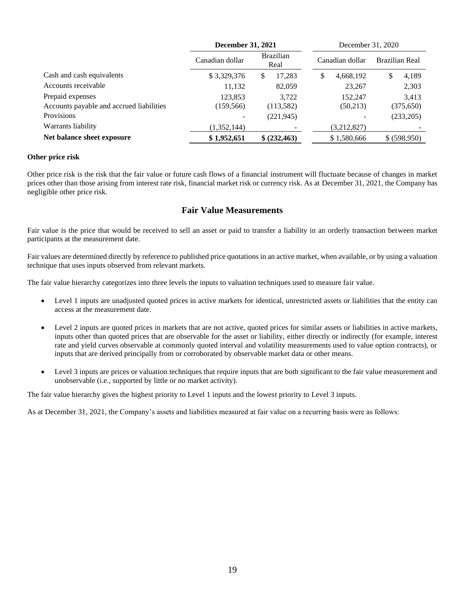|                                          | <b>December 31, 2021</b> |                          | December 31, 2020 |                |
|------------------------------------------|--------------------------|--------------------------|-------------------|----------------|
|                                          | Canadian dollar          | <b>Brazilian</b><br>Real | Canadian dollar   | Brazilian Real |
| Cash and cash equivalents                | \$3,329,376              | 17,283<br>S              | 4,668,192<br>\$   | 4,189<br>\$    |
| Accounts receivable                      | 11,132                   | 82,059                   | 23,267            | 2,303          |
| Prepaid expenses                         | 123.853                  | 3.722                    | 152.247           | 3,413          |
| Accounts payable and accrued liabilities | (159, 566)               | (113, 582)               | (50,213)          | (375, 650)     |
| <b>Provisions</b>                        |                          | (221, 945)               |                   | (233,205)      |
| Warrants liability                       | (1,352,144)              |                          | (3,212,827)       |                |
| Net balance sheet exposure               | \$1,952,651              | \$ (232, 463)            | \$1,580,666       | \$ (598,950)   |

## **Other price risk**

Other price risk is the risk that the fair value or future cash flows of a financial instrument will fluctuate because of changes in market prices other than those arising from interest rate risk, financial market risk or currency risk. As at December 31, 2021, the Company has negligible other price risk.

# **Fair Value Measurements**

Fair value is the price that would be received to sell an asset or paid to transfer a liability in an orderly transaction between market participants at the measurement date.

Fair values are determined directly by reference to published price quotations in an active market, when available, or by using a valuation technique that uses inputs observed from relevant markets.

The fair value hierarchy categorizes into three levels the inputs to valuation techniques used to measure fair value.

- Level 1 inputs are unadjusted quoted prices in active markets for identical, unrestricted assets or liabilities that the entity can access at the measurement date.
- Level 2 inputs are quoted prices in markets that are not active, quoted prices for similar assets or liabilities in active markets, inputs other than quoted prices that are observable for the asset or liability, either directly or indirectly (for example, interest rate and yield curves observable at commonly quoted interval and volatility measurements used to value option contracts), or inputs that are derived principally from or corroborated by observable market data or other means.
- Level 3 inputs are prices or valuation techniques that require inputs that are both significant to the fair value measurement and unobservable (i.e., supported by little or no market activity).

The fair value hierarchy gives the highest priority to Level 1 inputs and the lowest priority to Level 3 inputs.

As at December 31, 2021, the Company's assets and liabilities measured at fair value on a recurring basis were as follows: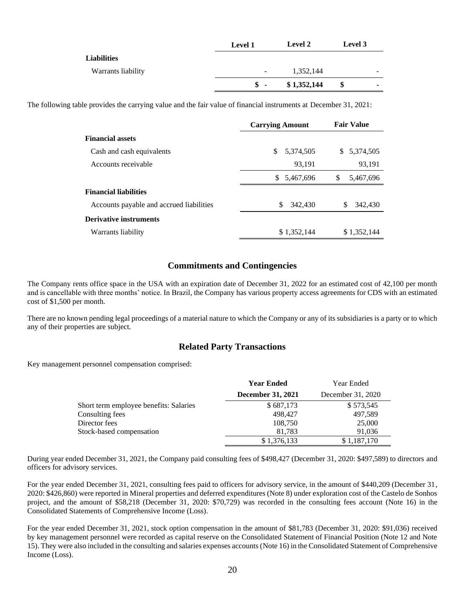|                    | <b>Level 1</b> | <b>Level 2</b> | Level 3 |                          |
|--------------------|----------------|----------------|---------|--------------------------|
| <b>Liabilities</b> |                |                |         |                          |
| Warrants liability | -              | 1,352,144      |         |                          |
|                    | $s -$          | \$1,352,144    | \$      | $\overline{\phantom{a}}$ |
|                    |                |                |         |                          |

The following table provides the carrying value and the fair value of financial instruments at December 31, 2021:

|                                          | <b>Carrying Amount</b> | <b>Fair Value</b> |
|------------------------------------------|------------------------|-------------------|
| <b>Financial assets</b>                  |                        |                   |
| Cash and cash equivalents                | \$<br>5,374,505        | S.<br>5,374,505   |
| Accounts receivable                      | 93,191                 | 93,191            |
|                                          | S.<br>5,467,696        | \$.<br>5,467,696  |
| <b>Financial liabilities</b>             |                        |                   |
| Accounts payable and accrued liabilities | \$<br>342,430          | \$<br>342,430     |
| <b>Derivative instruments</b>            |                        |                   |
| Warrants liability                       | \$1,352,144            | \$1,352,144       |

# **Commitments and Contingencies**

The Company rents office space in the USA with an expiration date of December 31, 2022 for an estimated cost of 42,100 per month and is cancellable with three months' notice. In Brazil, the Company has various property access agreements for CDS with an estimated cost of \$1,500 per month.

There are no known pending legal proceedings of a material nature to which the Company or any of its subsidiaries is a party or to which any of their properties are subject.

## **Related Party Transactions**

Key management personnel compensation comprised:

|                                        | <b>Year Ended</b>        | Year Ended        |
|----------------------------------------|--------------------------|-------------------|
|                                        | <b>December 31, 2021</b> | December 31, 2020 |
| Short term employee benefits: Salaries | \$687,173                | \$573,545         |
| Consulting fees                        | 498,427                  | 497,589           |
| Director fees                          | 108,750                  | 25,000            |
| Stock-based compensation               | 81,783                   | 91,036            |
|                                        | \$1,376,133              | \$1,187,170       |

During year ended December 31, 2021, the Company paid consulting fees of \$498,427 (December 31, 2020: \$497,589) to directors and officers for advisory services.

For the year ended December 31, 2021, consulting fees paid to officers for advisory service, in the amount of \$440,209 (December 31, 2020: \$426,860) were reported in Mineral properties and deferred expenditures (Note 8) under exploration cost of the Castelo de Sonhos project, and the amount of \$58,218 (December 31, 2020: \$70,729) was recorded in the consulting fees account (Note 16) in the Consolidated Statements of Comprehensive Income (Loss).

For the year ended December 31, 2021, stock option compensation in the amount of \$81,783 (December 31, 2020: \$91,036) received by key management personnel were recorded as capital reserve on the Consolidated Statement of Financial Position (Note 12 and Note 15). They were also included in the consulting and salaries expenses accounts (Note 16) in the Consolidated Statement of Comprehensive Income (Loss).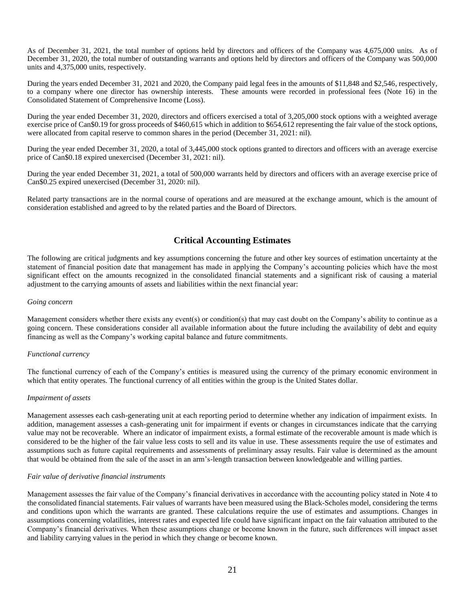As of December 31, 2021, the total number of options held by directors and officers of the Company was 4,675,000 units. As of December 31, 2020, the total number of outstanding warrants and options held by directors and officers of the Company was 500,000 units and 4,375,000 units, respectively.

During the years ended December 31, 2021 and 2020, the Company paid legal fees in the amounts of \$11,848 and \$2,546, respectively, to a company where one director has ownership interests. These amounts were recorded in professional fees (Note 16) in the Consolidated Statement of Comprehensive Income (Loss).

During the year ended December 31, 2020, directors and officers exercised a total of 3,205,000 stock options with a weighted average exercise price of Can\$0.19 for gross proceeds of \$460,615 which in addition to \$654,612 representing the fair value of the stock options, were allocated from capital reserve to common shares in the period (December 31, 2021: nil).

During the year ended December 31, 2020, a total of 3,445,000 stock options granted to directors and officers with an average exercise price of Can\$0.18 expired unexercised (December 31, 2021: nil).

During the year ended December 31, 2021, a total of 500,000 warrants held by directors and officers with an average exercise price of Can\$0.25 expired unexercised (December 31, 2020: nil).

Related party transactions are in the normal course of operations and are measured at the exchange amount, which is the amount of consideration established and agreed to by the related parties and the Board of Directors.

# **Critical Accounting Estimates**

The following are critical judgments and key assumptions concerning the future and other key sources of estimation uncertainty at the statement of financial position date that management has made in applying the Company's accounting policies which have the most significant effect on the amounts recognized in the consolidated financial statements and a significant risk of causing a material adjustment to the carrying amounts of assets and liabilities within the next financial year:

#### *Going concern*

Management considers whether there exists any event(s) or condition(s) that may cast doubt on the Company's ability to continue as a going concern. These considerations consider all available information about the future including the availability of debt and equity financing as well as the Company's working capital balance and future commitments.

#### *Functional currency*

The functional currency of each of the Company's entities is measured using the currency of the primary economic environment in which that entity operates. The functional currency of all entities within the group is the United States dollar.

#### *Impairment of assets*

Management assesses each cash-generating unit at each reporting period to determine whether any indication of impairment exists. In addition, management assesses a cash-generating unit for impairment if events or changes in circumstances indicate that the carrying value may not be recoverable. Where an indicator of impairment exists, a formal estimate of the recoverable amount is made which is considered to be the higher of the fair value less costs to sell and its value in use. These assessments require the use of estimates and assumptions such as future capital requirements and assessments of preliminary assay results. Fair value is determined as the amount that would be obtained from the sale of the asset in an arm's-length transaction between knowledgeable and willing parties.

## *Fair value of derivative financial instruments*

Management assesses the fair value of the Company's financial derivatives in accordance with the accounting policy stated in Note 4 to the consolidated financial statements. Fair values of warrants have been measured using the Black-Scholes model, considering the terms and conditions upon which the warrants are granted. These calculations require the use of estimates and assumptions. Changes in assumptions concerning volatilities, interest rates and expected life could have significant impact on the fair valuation attributed to the Company's financial derivatives. When these assumptions change or become known in the future, such differences will impact asset and liability carrying values in the period in which they change or become known.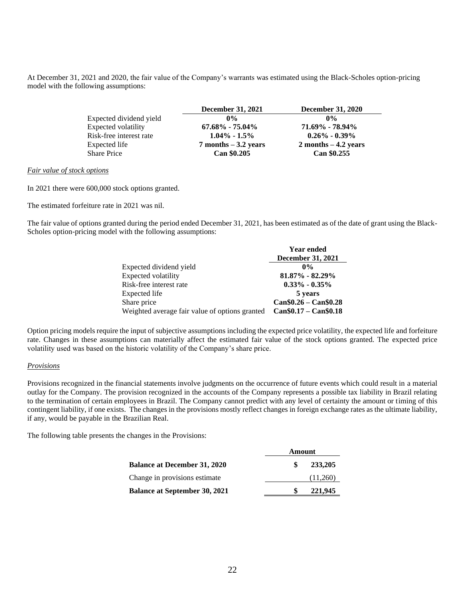At December 31, 2021 and 2020, the fair value of the Company's warrants was estimated using the Black-Scholes option-pricing model with the following assumptions:

|                         | December 31, 2021       | <b>December 31, 2020</b> |
|-------------------------|-------------------------|--------------------------|
| Expected dividend yield | $0\%$                   | $0\%$                    |
| Expected volatility     | $67.68\% - 75.04\%$     | 71.69% - 78.94%          |
| Risk-free interest rate | $1.04\% - 1.5\%$        | $0.26\% - 0.39\%$        |
| Expected life           | $7$ months $-3.2$ years | $2$ months $-4.2$ years  |
| Share Price             | Can \$0.205             | Can \$0.255              |

*Fair value of stock options* 

In 2021 there were 600,000 stock options granted.

The estimated forfeiture rate in 2021 was nil.

The fair value of options granted during the period ended December 31, 2021, has been estimated as of the date of grant using the Black-Scholes option-pricing model with the following assumptions:

|                                                | <b>Year ended</b>        |
|------------------------------------------------|--------------------------|
|                                                | <b>December 31, 2021</b> |
| Expected dividend yield                        | $0\%$                    |
| Expected volatility                            | $81.87\% - 82.29\%$      |
| Risk-free interest rate                        | $0.33\% - 0.35\%$        |
| Expected life                                  | 5 years                  |
| Share price                                    | $Can $0.26 - Can $0.28$  |
| Weighted average fair value of options granted | $Can $0.17 - Can $0.18$  |

Option pricing models require the input of subjective assumptions including the expected price volatility, the expected life and forfeiture rate. Changes in these assumptions can materially affect the estimated fair value of the stock options granted. The expected price volatility used was based on the historic volatility of the Company's share price.

#### *Provisions*

Provisions recognized in the financial statements involve judgments on the occurrence of future events which could result in a material outlay for the Company. The provision recognized in the accounts of the Company represents a possible tax liability in Brazil relating to the termination of certain employees in Brazil. The Company cannot predict with any level of certainty the amount or timing of this contingent liability, if one exists. The changes in the provisions mostly reflect changes in foreign exchange rates as the ultimate liability, if any, would be payable in the Brazilian Real.

The following table presents the changes in the Provisions:

|                                      | Amount |          |
|--------------------------------------|--------|----------|
| <b>Balance at December 31, 2020</b>  |        | 233,205  |
| Change in provisions estimate        |        | (11,260) |
| <b>Balance at September 30, 2021</b> |        | 221,945  |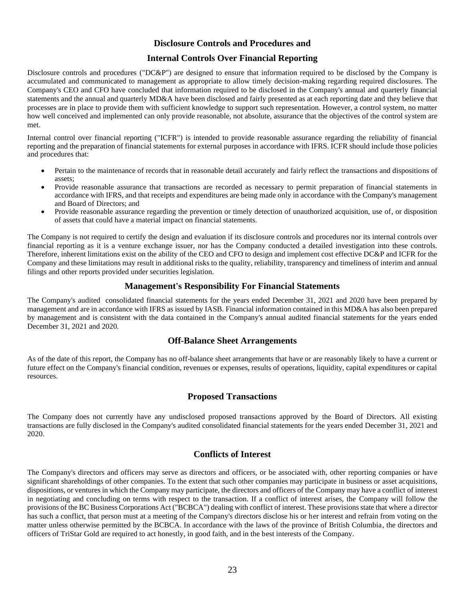## **Disclosure Controls and Procedures and**

# **Internal Controls Over Financial Reporting**

Disclosure controls and procedures ("DC&P") are designed to ensure that information required to be disclosed by the Company is accumulated and communicated to management as appropriate to allow timely decision-making regarding required disclosures. The Company's CEO and CFO have concluded that information required to be disclosed in the Company's annual and quarterly financial statements and the annual and quarterly MD&A have been disclosed and fairly presented as at each reporting date and they believe that processes are in place to provide them with sufficient knowledge to support such representation. However, a control system, no matter how well conceived and implemented can only provide reasonable, not absolute, assurance that the objectives of the control system are met.

Internal control over financial reporting ("ICFR") is intended to provide reasonable assurance regarding the reliability of financial reporting and the preparation of financial statements for external purposes in accordance with IFRS. ICFR should include those policies and procedures that:

- Pertain to the maintenance of records that in reasonable detail accurately and fairly reflect the transactions and dispositions of assets;
- Provide reasonable assurance that transactions are recorded as necessary to permit preparation of financial statements in accordance with IFRS, and that receipts and expenditures are being made only in accordance with the Company's management and Board of Directors; and
- Provide reasonable assurance regarding the prevention or timely detection of unauthorized acquisition, use of, or disposition of assets that could have a material impact on financial statements.

The Company is not required to certify the design and evaluation if its disclosure controls and procedures nor its internal controls over financial reporting as it is a venture exchange issuer, nor has the Company conducted a detailed investigation into these controls. Therefore, inherent limitations exist on the ability of the CEO and CFO to design and implement cost effective DC&P and ICFR for the Company and these limitations may result in additional risks to the quality, reliability, transparency and timeliness of interim and annual filings and other reports provided under securities legislation.

# **Management's Responsibility For Financial Statements**

The Company's audited consolidated financial statements for the years ended December 31, 2021 and 2020 have been prepared by management and are in accordance with IFRS as issued by IASB. Financial information contained in this MD&A has also been prepared by management and is consistent with the data contained in the Company's annual audited financial statements for the years ended December 31, 2021 and 2020.

## **Off-Balance Sheet Arrangements**

As of the date of this report, the Company has no off-balance sheet arrangements that have or are reasonably likely to have a current or future effect on the Company's financial condition, revenues or expenses, results of operations, liquidity, capital expenditures or capital resources.

# **Proposed Transactions**

The Company does not currently have any undisclosed proposed transactions approved by the Board of Directors. All existing transactions are fully disclosed in the Company's audited consolidated financial statements for the years ended December 31, 2021 and 2020.

## **Conflicts of Interest**

The Company's directors and officers may serve as directors and officers, or be associated with, other reporting companies or have significant shareholdings of other companies. To the extent that such other companies may participate in business or asset acquisitions, dispositions, or ventures in which the Company may participate, the directors and officers of the Company may have a conflict of interest in negotiating and concluding on terms with respect to the transaction. If a conflict of interest arises, the Company will follow the provisions of the BC Business Corporations Act ("BCBCA") dealing with conflict of interest. These provisions state that where a director has such a conflict, that person must at a meeting of the Company's directors disclose his or her interest and refrain from voting on the matter unless otherwise permitted by the BCBCA. In accordance with the laws of the province of British Columbia, the directors and officers of TriStar Gold are required to act honestly, in good faith, and in the best interests of the Company.